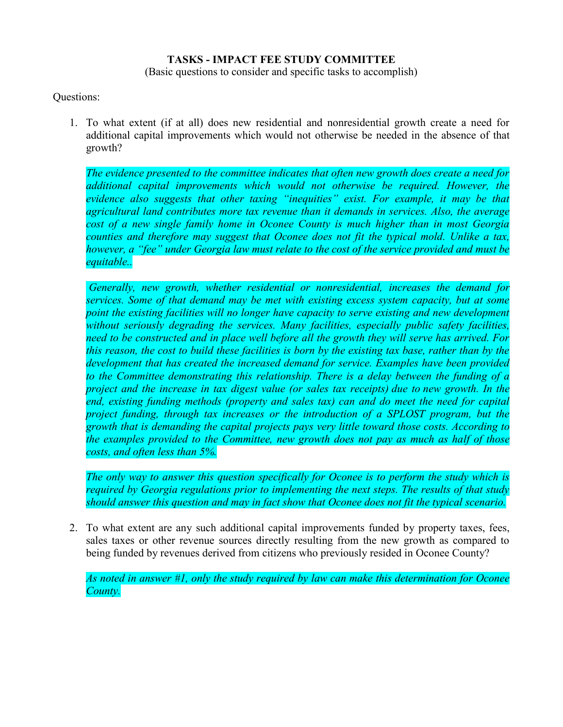## **TASKS - IMPACT FEE STUDY COMMITTEE**

(Basic questions to consider and specific tasks to accomplish)

## Questions:

1. To what extent (if at all) does new residential and nonresidential growth create a need for additional capital improvements which would not otherwise be needed in the absence of that growth?

*The evidence presented to the committee indicates that often new growth does create a need for additional capital improvements which would not otherwise be required. However, the evidence also suggests that other taxing "inequities" exist. For example, it may be that agricultural land contributes more tax revenue than it demands in services. Also, the average cost of a new single family home in Oconee County is much higher than in most Georgia counties and therefore may suggest that Oconee does not fit the typical mold. Unlike a tax, however, a "fee" under Georgia law must relate to the cost of the service provided and must be equitable..* 

*Generally, new growth, whether residential or nonresidential, increases the demand for services. Some of that demand may be met with existing excess system capacity, but at some point the existing facilities will no longer have capacity to serve existing and new development without seriously degrading the services. Many facilities, especially public safety facilities, need to be constructed and in place well before all the growth they will serve has arrived. For this reason, the cost to build these facilities is born by the existing tax base, rather than by the development that has created the increased demand for service. Examples have been provided to the Committee demonstrating this relationship. There is a delay between the funding of a project and the increase in tax digest value (or sales tax receipts) due to new growth. In the end, existing funding methods (property and sales tax) can and do meet the need for capital project funding, through tax increases or the introduction of a SPLOST program, but the growth that is demanding the capital projects pays very little toward those costs. According to the examples provided to the Committee, new growth does not pay as much as half of those costs, and often less than 5%.*

*The only way to answer this question specifically for Oconee is to perform the study which is required by Georgia regulations prior to implementing the next steps. The results of that study should answer this question and may in fact show that Oconee does not fit the typical scenario.*

2. To what extent are any such additional capital improvements funded by property taxes, fees, sales taxes or other revenue sources directly resulting from the new growth as compared to being funded by revenues derived from citizens who previously resided in Oconee County?

*As noted in answer #1, only the study required by law can make this determination for Oconee County.*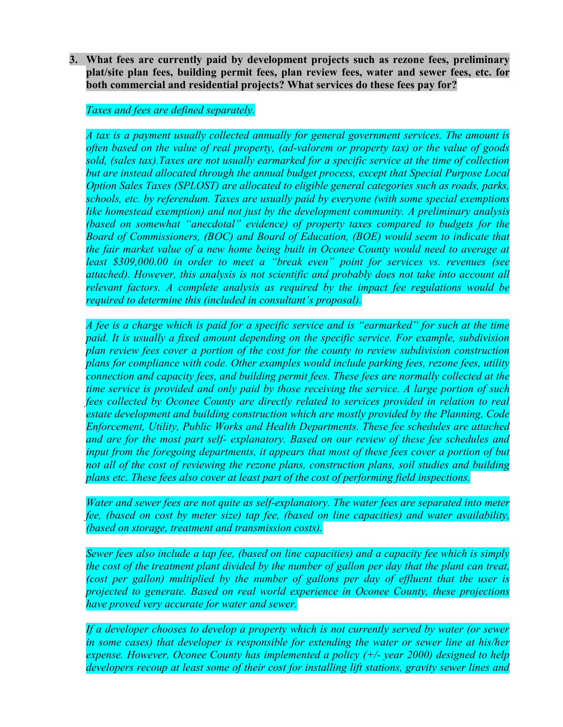**3. What fees are currently paid by development projects such as rezone fees, preliminary plat/site plan fees, building permit fees, plan review fees, water and sewer fees, etc. for both commercial and residential projects? What services do these fees pay for?**

## *Taxes and fees are defined separately.*

*A tax is a payment usually collected annually for general government services. The amount is often based on the value of real property, (ad-valorem or property tax) or the value of goods sold, (sales tax).Taxes are not usually earmarked for a specific service at the time of collection but are instead allocated through the annual budget process, except that Special Purpose Local Option Sales Taxes (SPLOST) are allocated to eligible general categories such as roads, parks, schools, etc. by referendum. Taxes are usually paid by everyone (with some special exemptions like homestead exemption) and not just by the development community. A preliminary analysis (based on somewhat "anecdotal" evidence) of property taxes compared to budgets for the Board of Commissioners, (BOC) and Board of Education, (BOE) would seem to indicate that the fair market value of a new home being built in Oconee County would need to average at least \$309,000.00 in order to meet a "break even" point for services vs. revenues (see attached). However, this analysis is not scientific and probably does not take into account all relevant factors. A complete analysis as required by the impact fee regulations would be required to determine this (included in consultant's proposal).*

*A fee is a charge which is paid for a specific service and is "earmarked" for such at the time*  paid. It is usually a fixed amount depending on the specific service. For example, subdivision *plan review fees cover a portion of the cost for the county to review subdivision construction plans for compliance with code. Other examples would include parking fees, rezone fees, utility connection and capacity fees, and building permit fees. These fees are normally collected at the time service is provided and only paid by those receiving the service. A large portion of such fees collected by Oconee County are directly related to services provided in relation to real estate development and building construction which are mostly provided by the Planning, Code Enforcement, Utility, Public Works and Health Departments. These fee schedules are attached and are for the most part self- explanatory. Based on our review of these fee schedules and input from the foregoing departments, it appears that most of these fees cover a portion of but not all of the cost of reviewing the rezone plans, construction plans, soil studies and building plans etc. These fees also cover at least part of the cost of performing field inspections.* 

*Water and sewer fees are not quite as self-explanatory. The water fees are separated into meter fee, (based on cost by meter size) tap fee, (based on line capacities) and water availability, (based on storage, treatment and transmission costs).*

*Sewer fees also include a tap fee, (based on line capacities) and a capacity fee which is simply the cost of the treatment plant divided by the number of gallon per day that the plant can treat, (cost per gallon) multiplied by the number of gallons per day of effluent that the user is projected to generate. Based on real world experience in Oconee County, these projections have proved very accurate for water and sewer.*

If a developer chooses to develop a property which is not currently served by water (or sewer *in some cases) that developer is responsible for extending the water or sewer line at his/her expense. However, Oconee County has implemented a policy (+/- year 2000) designed to help developers recoup at least some of their cost for installing lift stations, gravity sewer lines and*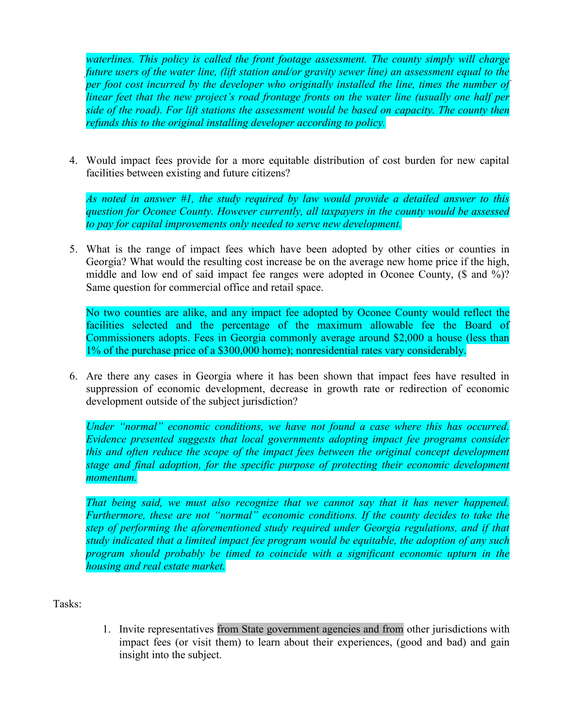*waterlines. This policy is called the front footage assessment. The county simply will charge future users of the water line, (lift station and/or gravity sewer line) an assessment equal to the per foot cost incurred by the developer who originally installed the line, times the number of linear feet that the new project's road frontage fronts on the water line (usually one half per side of the road). For lift stations the assessment would be based on capacity. The county then refunds this to the original installing developer according to policy.*

4. Would impact fees provide for a more equitable distribution of cost burden for new capital facilities between existing and future citizens?

*As noted in answer #1, the study required by law would provide a detailed answer to this question for Oconee County. However currently, all taxpayers in the county would be assessed to pay for capital improvements only needed to serve new development.*

5. What is the range of impact fees which have been adopted by other cities or counties in Georgia? What would the resulting cost increase be on the average new home price if the high, middle and low end of said impact fee ranges were adopted in Oconee County, (\$ and %)? Same question for commercial office and retail space.

No two counties are alike, and any impact fee adopted by Oconee County would reflect the facilities selected and the percentage of the maximum allowable fee the Board of Commissioners adopts. Fees in Georgia commonly average around \$2,000 a house (less than 1% of the purchase price of a \$300,000 home); nonresidential rates vary considerably.

6. Are there any cases in Georgia where it has been shown that impact fees have resulted in suppression of economic development, decrease in growth rate or redirection of economic development outside of the subject jurisdiction?

*Under "normal" economic conditions, we have not found a case where this has occurred. Evidence presented suggests that local governments adopting impact fee programs consider this and often reduce the scope of the impact fees between the original concept development stage and final adoption, for the specific purpose of protecting their economic development momentum.*

*That being said, we must also recognize that we cannot say that it has never happened. Furthermore, these are not "normal" economic conditions. If the county decides to take the step of performing the aforementioned study required under Georgia regulations, and if that study indicated that a limited impact fee program would be equitable, the adoption of any such program should probably be timed to coincide with a significant economic upturn in the housing and real estate market.*

Tasks:

1. Invite representatives from State government agencies and from other jurisdictions with impact fees (or visit them) to learn about their experiences, (good and bad) and gain insight into the subject.